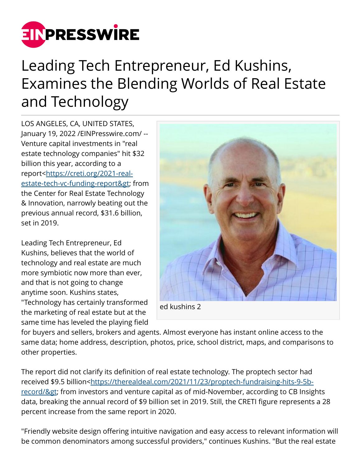

## Leading Tech Entrepreneur, Ed Kushins, Examines the Blending Worlds of Real Estate and Technology

LOS ANGELES, CA, UNITED STATES, January 19, 2022 /[EINPresswire.com](http://www.einpresswire.com)/ -- Venture capital investments in "real estate technology companies" hit \$32 billion this year, according to a report<[https://creti.org/2021-real](https://creti.org/2021-real-estate-tech-vc-funding-report>)estate-tech-vc-funding-report> from the Center for Real Estate Technology & Innovation, narrowly beating out the previous annual record, \$31.6 billion, set in 2019.

Leading Tech Entrepreneur, Ed Kushins, believes that the world of technology and real estate are much more symbiotic now more than ever, and that is not going to change anytime soon. Kushins states, "Technology has certainly transformed the marketing of real estate but at the same time has leveled the playing field



for buyers and sellers, brokers and agents. Almost everyone has instant online access to the same data; home address, description, photos, price, school district, maps, and comparisons to other properties.

The report did not clarify its definition of real estate technology. The proptech sector had received \$9.5 billion<[https://therealdeal.com/2021/11/23/proptech-fundraising-hits-9-5b](https://therealdeal.com/2021/11/23/proptech-fundraising-hits-9-5b-record/>)record/> from investors and venture capital as of mid-November, according to CB Insights data, breaking the annual record of \$9 billion set in 2019. Still, the CRETI figure represents a 28 percent increase from the same report in 2020.

"Friendly website design offering intuitive navigation and easy access to relevant information will be common denominators among successful providers," continues Kushins. "But the real estate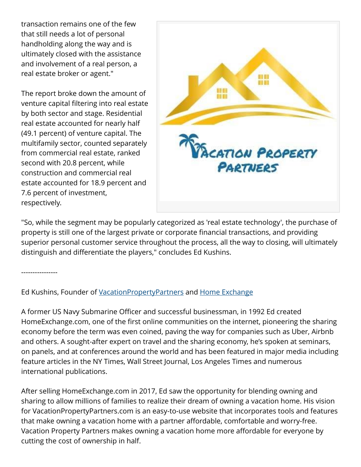transaction remains one of the few that still needs a lot of personal handholding along the way and is ultimately closed with the assistance and involvement of a real person, a real estate broker or agent."

The report broke down the amount of venture capital filtering into real estate by both sector and stage. Residential real estate accounted for nearly half (49.1 percent) of venture capital. The multifamily sector, counted separately from commercial real estate, ranked second with 20.8 percent, while construction and commercial real estate accounted for 18.9 percent and 7.6 percent of investment, respectively.



"So, while the segment may be popularly categorized as 'real estate technology', the purchase of property is still one of the largest private or corporate financial transactions, and providing superior personal customer service throughout the process, all the way to closing, will ultimately distinguish and differentiate the players," concludes Ed Kushins.

----------------

Ed Kushins, Founder of [VacationPropertyPartners](https://www.vacationpropertypartners.com/) and [Home Exchange](https://www.homeexchange.com/)

A former US Navy Submarine Officer and successful businessman, in 1992 Ed created HomeExchange.com, one of the first online communities on the internet, pioneering the sharing economy before the term was even coined, paving the way for companies such as Uber, Airbnb and others. A sought-after expert on travel and the sharing economy, he's spoken at seminars, on panels, and at conferences around the world and has been featured in major media including feature articles in the NY Times, Wall Street Journal, Los Angeles Times and numerous international publications.

After selling HomeExchange.com in 2017, Ed saw the opportunity for blending owning and sharing to allow millions of families to realize their dream of owning a vacation home. His vision for VacationPropertyPartners.com is an easy-to-use website that incorporates tools and features that make owning a vacation home with a partner affordable, comfortable and worry-free. Vacation Property Partners makes owning a vacation home more affordable for everyone by cutting the cost of ownership in half.